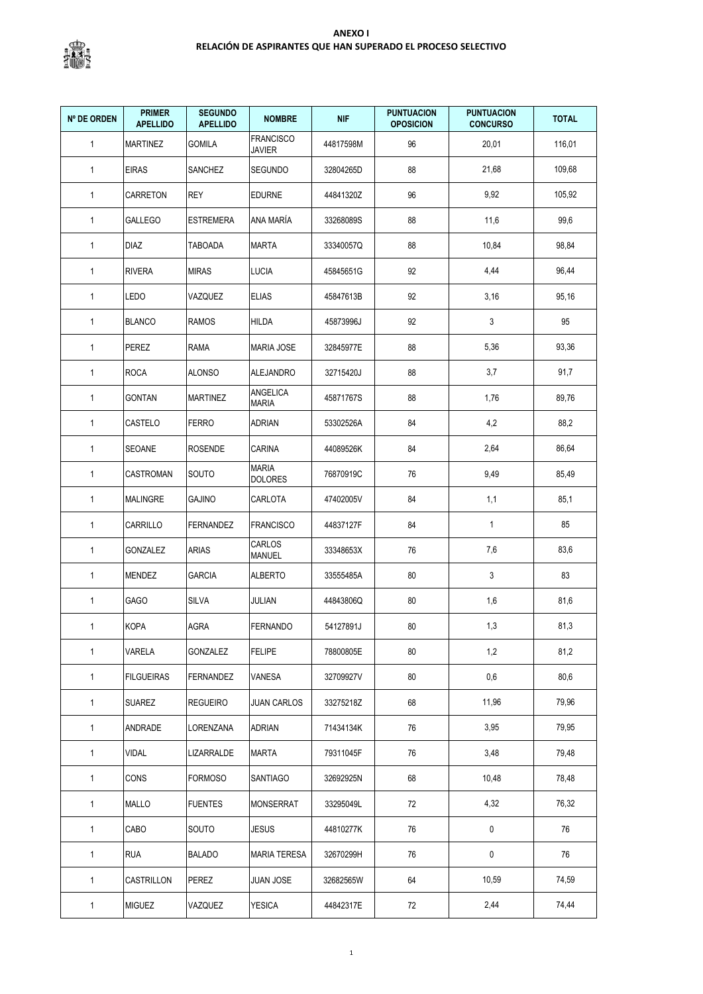

| <b>Nº DE ORDEN</b> | <b>PRIMER</b><br><b>APELLIDO</b> | <b>SEGUNDO</b><br><b>APELLIDO</b> | <b>NOMBRE</b>                     | <b>NIF</b> | <b>PUNTUACION</b><br><b>OPOSICION</b> | <b>PUNTUACION</b><br><b>CONCURSO</b> | <b>TOTAL</b> |
|--------------------|----------------------------------|-----------------------------------|-----------------------------------|------------|---------------------------------------|--------------------------------------|--------------|
| $\mathbf{1}$       | <b>MARTINEZ</b>                  | <b>GOMILA</b>                     | <b>FRANCISCO</b><br><b>JAVIER</b> | 44817598M  | 96                                    | 20,01                                | 116,01       |
| $\mathbf{1}$       | <b>EIRAS</b>                     | SANCHEZ                           | <b>SEGUNDO</b>                    | 32804265D  | 88                                    | 21,68                                | 109,68       |
| $\mathbf{1}$       | CARRETON                         | <b>REY</b>                        | <b>EDURNE</b>                     | 44841320Z  | 96                                    | 9,92                                 | 105,92       |
| $\mathbf{1}$       | <b>GALLEGO</b>                   | <b>ESTREMERA</b>                  | ANA MARÍA                         | 33268089S  | 88                                    | 11,6                                 | 99,6         |
| $\mathbf{1}$       | <b>DIAZ</b>                      | TABOADA                           | <b>MARTA</b>                      | 33340057Q  | 88                                    | 10,84                                | 98,84        |
| $\mathbf{1}$       | <b>RIVERA</b>                    | <b>MIRAS</b>                      | <b>LUCIA</b>                      | 45845651G  | 92                                    | 4,44                                 | 96,44        |
| $\mathbf{1}$       | LEDO                             | VAZQUEZ                           | <b>ELIAS</b>                      | 45847613B  | 92                                    | 3,16                                 | 95,16        |
| $\mathbf{1}$       | <b>BLANCO</b>                    | <b>RAMOS</b>                      | <b>HILDA</b>                      | 45873996J  | 92                                    | 3                                    | 95           |
| $\mathbf{1}$       | PEREZ                            | RAMA                              | <b>MARIA JOSE</b>                 | 32845977E  | 88                                    | 5,36                                 | 93,36        |
| $\mathbf{1}$       | <b>ROCA</b>                      | <b>ALONSO</b>                     | <b>ALEJANDRO</b>                  | 32715420J  | 88                                    | 3,7                                  | 91,7         |
| $\mathbf{1}$       | <b>GONTAN</b>                    | <b>MARTINEZ</b>                   | ANGELICA<br><b>MARIA</b>          | 45871767S  | 88                                    | 1,76                                 | 89,76        |
| $\mathbf{1}$       | CASTELO                          | <b>FERRO</b>                      | <b>ADRIAN</b>                     | 53302526A  | 84                                    | 4,2                                  | 88,2         |
| $\mathbf{1}$       | SEOANE                           | <b>ROSENDE</b>                    | CARINA                            | 44089526K  | 84                                    | 2,64                                 | 86,64        |
| $\mathbf{1}$       | CASTROMAN                        | SOUTO                             | <b>MARIA</b><br>DOLORES           | 76870919C  | 76                                    | 9,49                                 | 85,49        |
| $\mathbf{1}$       | <b>MALINGRE</b>                  | GAJINO                            | CARLOTA                           | 47402005V  | 84                                    | 1,1                                  | 85,1         |
| $\mathbf{1}$       | CARRILLO                         | <b>FERNANDEZ</b>                  | <b>FRANCISCO</b>                  | 44837127F  | 84                                    | $\mathbf{1}$                         | 85           |
| $\mathbf{1}$       | GONZALEZ                         | ARIAS                             | CARLOS<br><b>MANUEL</b>           | 33348653X  | 76                                    | 7,6                                  | 83,6         |
| $\mathbf{1}$       | MENDEZ                           | <b>GARCIA</b>                     | <b>ALBERTO</b>                    | 33555485A  | 80                                    | $\mathbf{3}$                         | 83           |
| $\mathbf{1}$       | <b>GAGO</b>                      | <b>SILVA</b>                      | <b>JULIAN</b>                     | 44843806Q  | 80                                    | 1,6                                  | 81,6         |
| $\mathbf{1}$       | <b>KOPA</b>                      | AGRA                              | <b>FERNANDO</b>                   | 54127891J  | 80                                    | 1,3                                  | 81,3         |
| $\mathbf{1}$       | VARELA                           | GONZALEZ                          | <b>FELIPE</b>                     | 78800805E  | 80                                    | 1,2                                  | 81,2         |
| $\mathbf{1}$       | <b>FILGUEIRAS</b>                | <b>FERNANDEZ</b>                  | VANESA                            | 32709927V  | 80                                    | 0,6                                  | 80,6         |
| $\mathbf{1}$       | <b>SUAREZ</b>                    | <b>REGUEIRO</b>                   | <b>JUAN CARLOS</b>                | 33275218Z  | 68                                    | 11,96                                | 79,96        |
| $\mathbf{1}$       | ANDRADE                          | LORENZANA                         | <b>ADRIAN</b>                     | 71434134K  | 76                                    | 3,95                                 | 79,95        |
| $\mathbf{1}$       | <b>VIDAL</b>                     | LIZARRALDE                        | <b>MARTA</b>                      | 79311045F  | 76                                    | 3,48                                 | 79,48        |
| $\mathbf{1}$       | CONS                             | <b>FORMOSO</b>                    | SANTIAGO                          | 32692925N  | 68                                    | 10,48                                | 78,48        |
| $\mathbf{1}$       | MALLO                            | <b>FUENTES</b>                    | <b>MONSERRAT</b>                  | 33295049L  | 72                                    | 4,32                                 | 76,32        |
| $\mathbf{1}$       | CABO                             | SOUTO                             | <b>JESUS</b>                      | 44810277K  | 76                                    | 0                                    | 76           |
| $\mathbf{1}$       | <b>RUA</b>                       | <b>BALADO</b>                     | <b>MARIA TERESA</b>               | 32670299H  | 76                                    | $\pmb{0}$                            | 76           |
| $\mathbf{1}$       | CASTRILLON                       | <b>PEREZ</b>                      | JUAN JOSE                         | 32682565W  | 64                                    | 10,59                                | 74,59        |
| $\mathbf{1}$       | <b>MIGUEZ</b>                    | VAZQUEZ                           | <b>YESICA</b>                     | 44842317E  | 72                                    | 2,44                                 | 74,44        |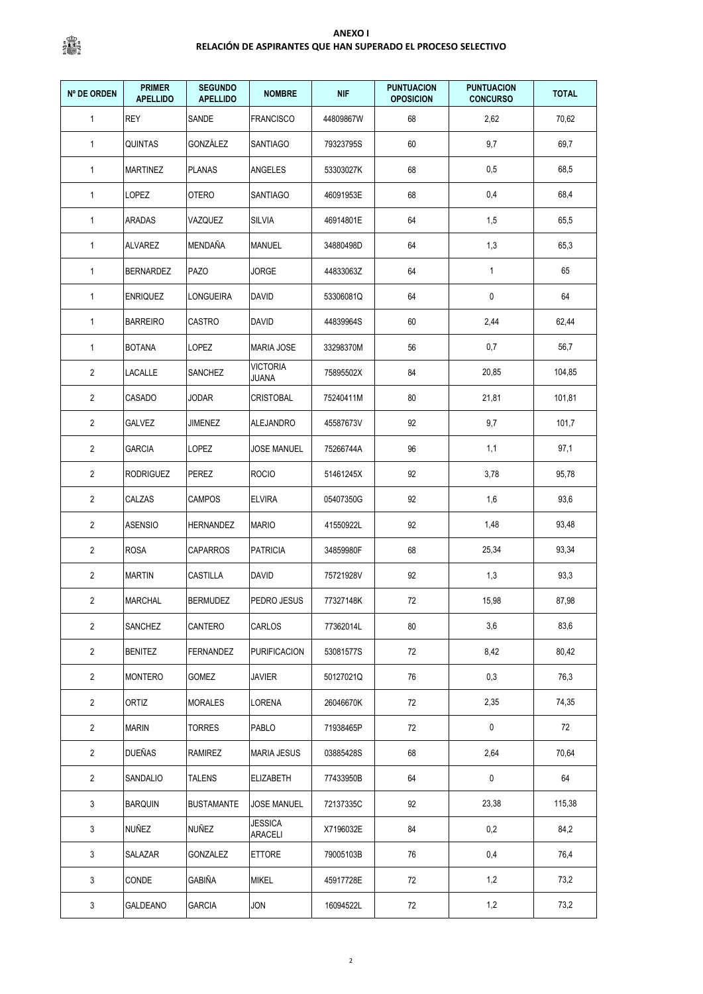| <b>Nº DE ORDEN</b> | <b>PRIMER</b><br><b>APELLIDO</b> | <b>SEGUNDO</b><br><b>APELLIDO</b> | <b>NOMBRE</b>                   | <b>NIF</b> | <b>PUNTUACION</b><br><b>OPOSICION</b> | <b>PUNTUACION</b><br><b>CONCURSO</b> | <b>TOTAL</b> |
|--------------------|----------------------------------|-----------------------------------|---------------------------------|------------|---------------------------------------|--------------------------------------|--------------|
| $\mathbf{1}$       | <b>REY</b>                       | SANDE                             | <b>FRANCISCO</b>                | 44809867W  | 68                                    | 2,62                                 | 70,62        |
| 1                  | QUINTAS                          | GONZÁLEZ                          | SANTIAGO                        | 79323795S  | 60                                    | 9,7                                  | 69,7         |
| $\overline{1}$     | <b>MARTINEZ</b>                  | <b>PLANAS</b>                     | ANGELES                         | 53303027K  | 68                                    | 0,5                                  | 68,5         |
| $\mathbf{1}$       | LOPEZ                            | <b>OTERO</b>                      | <b>SANTIAGO</b>                 | 46091953E  | 68                                    | 0,4                                  | 68,4         |
| $\mathbf{1}$       | ARADAS                           | VAZQUEZ                           | <b>SILVIA</b>                   | 46914801E  | 64                                    | 1,5                                  | 65,5         |
| $\mathbf{1}$       | <b>ALVAREZ</b>                   | <b>MENDAÑA</b>                    | <b>MANUEL</b>                   | 34880498D  | 64                                    | 1,3                                  | 65,3         |
| $\mathbf{1}$       | <b>BERNARDEZ</b>                 | <b>PAZO</b>                       | <b>JORGE</b>                    | 44833063Z  | 64                                    | $\mathbf{1}$                         | 65           |
| $\mathbf{1}$       | <b>ENRIQUEZ</b>                  | LONGUEIRA                         | <b>DAVID</b>                    | 53306081Q  | 64                                    | 0                                    | 64           |
| $\mathbf{1}$       | <b>BARREIRO</b>                  | CASTRO                            | <b>DAVID</b>                    | 44839964S  | 60                                    | 2,44                                 | 62,44        |
| $\mathbf{1}$       | <b>BOTANA</b>                    | LOPEZ                             | <b>MARIA JOSE</b>               | 33298370M  | 56                                    | 0,7                                  | 56,7         |
| $\overline{2}$     | <b>LACALLE</b>                   | SANCHEZ                           | <b>VICTORIA</b><br><b>JUANA</b> | 75895502X  | 84                                    | 20,85                                | 104,85       |
| 2                  | CASADO                           | JODAR                             | <b>CRISTOBAL</b>                | 75240411M  | 80                                    | 21,81                                | 101,81       |
| $\overline{2}$     | <b>GALVEZ</b>                    | JIMENEZ                           | ALEJANDRO                       | 45587673V  | 92                                    | 9,7                                  | 101,7        |
| $\overline{2}$     | <b>GARCIA</b>                    | LOPEZ                             | <b>JOSE MANUEL</b>              | 75266744A  | 96                                    | 1,1                                  | 97,1         |
| $\overline{2}$     | <b>RODRIGUEZ</b>                 | PEREZ                             | <b>ROCIO</b>                    | 51461245X  | 92                                    | 3,78                                 | 95,78        |
| 2                  | CALZAS                           | CAMPOS                            | <b>ELVIRA</b>                   | 05407350G  | 92                                    | 1,6                                  | 93,6         |
| $\overline{2}$     | <b>ASENSIO</b>                   | HERNANDEZ                         | MARIO                           | 41550922L  | 92                                    | 1,48                                 | 93,48        |
| $\overline{2}$     | <b>ROSA</b>                      | <b>CAPARROS</b>                   | <b>PATRICIA</b>                 | 34859980F  | 68                                    | 25,34                                | 93,34        |
| $\overline{2}$     | <b>MARTIN</b>                    | CASTILLA                          | <b>DAVID</b>                    | 75721928V  | 92                                    | 1,3                                  | 93,3         |
| $\overline{2}$     | <b>MARCHAL</b>                   | <b>BERMUDEZ</b>                   | PEDRO JESUS                     | 77327148K  | $72\,$                                | 15,98                                | 87,98        |
| 2                  | SANCHEZ                          | CANTERO                           | CARLOS                          | 77362014L  | 80                                    | 3,6                                  | 83,6         |
| 2                  | <b>BENITEZ</b>                   | FERNANDEZ                         | <b>PURIFICACION</b>             | 53081577S  | 72                                    | 8,42                                 | 80,42        |
| $\overline{2}$     | <b>MONTERO</b>                   | GOMEZ                             | <b>JAVIER</b>                   | 50127021Q  | 76                                    | 0,3                                  | 76,3         |
| 2                  | ortiz                            | <b>MORALES</b>                    | LORENA                          | 26046670K  | 72                                    | 2,35                                 | 74,35        |
| $\overline{2}$     | <b>MARIN</b>                     | <b>TORRES</b>                     | PABLO                           | 71938465P  | 72                                    | 0                                    | 72           |
| $\overline{2}$     | <b>DUEÑAS</b>                    | RAMIREZ                           | <b>MARIA JESUS</b>              | 03885428S  | 68                                    | 2,64                                 | 70,64        |
| $\overline{2}$     | SANDALIO                         | TALENS                            | ELIZABETH                       | 77433950B  | 64                                    | $\pmb{0}$                            | 64           |
| 3                  | <b>BARQUIN</b>                   | <b>BUSTAMANTE</b>                 | <b>JOSE MANUEL</b>              | 72137335C  | 92                                    | 23,38                                | 115,38       |
| 3                  | NUÑEZ                            | NUÑEZ                             | <b>JESSICA</b><br>ARACELI       | X7196032E  | 84                                    | 0,2                                  | 84,2         |
| 3                  | SALAZAR                          | GONZALEZ                          | <b>ETTORE</b>                   | 79005103B  | 76                                    | 0,4                                  | 76,4         |
| 3                  | CONDE                            | GABIÑA                            | <b>MIKEL</b>                    | 45917728E  | 72                                    | 1,2                                  | 73,2         |
| 3                  | GALDEANO                         | GARCIA                            | JON                             | 16094522L  | 72                                    | 1,2                                  | 73,2         |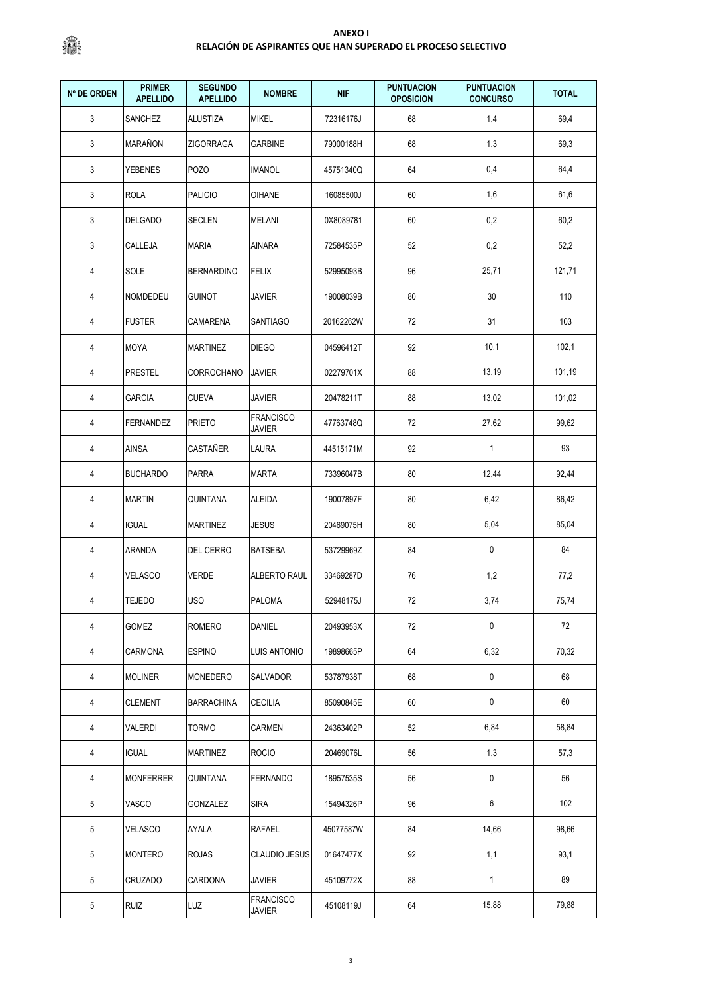| Nº DE ORDEN     | <b>PRIMER</b><br><b>APELLIDO</b> | <b>SEGUNDO</b><br><b>APELLIDO</b> | <b>NOMBRE</b>                     | <b>NIF</b> | <b>PUNTUACION</b><br><b>OPOSICION</b> | <b>PUNTUACION</b><br><b>CONCURSO</b> | <b>TOTAL</b> |
|-----------------|----------------------------------|-----------------------------------|-----------------------------------|------------|---------------------------------------|--------------------------------------|--------------|
| 3               | <b>SANCHEZ</b>                   | <b>ALUSTIZA</b>                   | <b>MIKEL</b>                      | 72316176J  | 68                                    | 1,4                                  | 69,4         |
| 3               | <b>MARAÑON</b>                   | <b>ZIGORRAGA</b>                  | <b>GARBINE</b>                    | 79000188H  | 68                                    | 1,3                                  | 69,3         |
| 3               | <b>YEBENES</b>                   | POZO                              | <b>IMANOL</b>                     | 45751340Q  | 64                                    | 0,4                                  | 64,4         |
| 3               | <b>ROLA</b>                      | <b>PALICIO</b>                    | <b>OIHANE</b>                     | 16085500J  | 60                                    | 1,6                                  | 61,6         |
| 3               | DELGADO                          | <b>SECLEN</b>                     | <b>MELANI</b>                     | 0X8089781  | 60                                    | 0,2                                  | 60,2         |
| 3               | CALLEJA                          | <b>MARIA</b>                      | AINARA                            | 72584535P  | 52                                    | 0,2                                  | 52,2         |
| 4               | SOLE                             | <b>BERNARDINO</b>                 | <b>FELIX</b>                      | 52995093B  | 96                                    | 25,71                                | 121,71       |
| 4               | NOMDEDEU                         | <b>GUINOT</b>                     | <b>JAVIER</b>                     | 19008039B  | 80                                    | 30                                   | 110          |
| 4               | <b>FUSTER</b>                    | CAMARENA                          | <b>SANTIAGO</b>                   | 20162262W  | 72                                    | 31                                   | 103          |
| 4               | <b>MOYA</b>                      | <b>MARTINEZ</b>                   | <b>DIEGO</b>                      | 04596412T  | 92                                    | 10,1                                 | 102,1        |
| 4               | <b>PRESTEL</b>                   | CORROCHANO                        | <b>JAVIER</b>                     | 02279701X  | 88                                    | 13,19                                | 101,19       |
| 4               | <b>GARCIA</b>                    | <b>CUEVA</b>                      | <b>JAVIER</b>                     | 20478211T  | 88                                    | 13,02                                | 101,02       |
| 4               | FERNANDEZ                        | <b>PRIETO</b>                     | <b>FRANCISCO</b><br><b>JAVIER</b> | 47763748Q  | 72                                    | 27,62                                | 99,62        |
| 4               | AINSA                            | CASTAÑER                          | LAURA                             | 44515171M  | 92                                    | $\mathbf{1}$                         | 93           |
| 4               | <b>BUCHARDO</b>                  | <b>PARRA</b>                      | <b>MARTA</b>                      | 73396047B  | 80                                    | 12,44                                | 92,44        |
| 4               | <b>MARTIN</b>                    | <b>QUINTANA</b>                   | ALEIDA                            | 19007897F  | 80                                    | 6,42                                 | 86,42        |
| 4               | <b>IGUAL</b>                     | <b>MARTINEZ</b>                   | <b>JESUS</b>                      | 20469075H  | 80                                    | 5,04                                 | 85,04        |
| 4               | ARANDA                           | DEL CERRO                         | <b>BATSEBA</b>                    | 53729969Z  | 84                                    | 0                                    | 84           |
| 4               | <b>VELASCO</b>                   | <b>VERDE</b>                      | <b>ALBERTO RAUL</b>               | 33469287D  | 76                                    | 1,2                                  | 77,2         |
| 4               | <b>TEJEDO</b>                    | <b>USO</b>                        | <b>PALOMA</b>                     | 52948175J  | 72                                    | 3,74                                 | 75,74        |
| 4               | <b>GOMEZ</b>                     | <b>ROMERO</b>                     | DANIEL                            | 20493953X  | 72                                    | 0                                    | 72           |
| $\overline{4}$  | CARMONA                          | <b>ESPINO</b>                     | <b>LUIS ANTONIO</b>               | 19898665P  | 64                                    | 6,32                                 | 70,32        |
| 4               | <b>MOLINER</b>                   | MONEDERO                          | SALVADOR                          | 53787938T  | 68                                    | 0                                    | 68           |
| $\overline{4}$  | CLEMENT                          | <b>BARRACHINA</b>                 | <b>CECILIA</b>                    | 85090845E  | 60                                    | $\pmb{0}$                            | 60           |
| $\overline{4}$  | VALERDI                          | <b>TORMO</b>                      | CARMEN                            | 24363402P  | 52                                    | 6,84                                 | 58,84        |
| 4               | <b>IGUAL</b>                     | MARTINEZ                          | <b>ROCIO</b>                      | 20469076L  | 56                                    | 1,3                                  | 57,3         |
| 4               | <b>MONFERRER</b>                 | QUINTANA                          | <b>FERNANDO</b>                   | 18957535S  | 56                                    | 0                                    | 56           |
| 5               | VASCO                            | GONZALEZ                          | <b>SIRA</b>                       | 15494326P  | 96                                    | 6                                    | 102          |
| 5               | VELASCO                          | AYALA                             | RAFAEL                            | 45077587W  | 84                                    | 14,66                                | 98,66        |
| $5\phantom{.0}$ | <b>MONTERO</b>                   | <b>ROJAS</b>                      | <b>CLAUDIO JESUS</b>              | 01647477X  | 92                                    | 1,1                                  | 93,1         |
| $5\phantom{.0}$ | CRUZADO                          | CARDONA                           | <b>JAVIER</b>                     | 45109772X  | 88                                    | $\mathbf{1}$                         | 89           |
| $5\,$           | <b>RUIZ</b>                      | LUZ                               | <b>FRANCISCO</b><br>JAVIER        | 45108119J  | 64                                    | 15,88                                | 79,88        |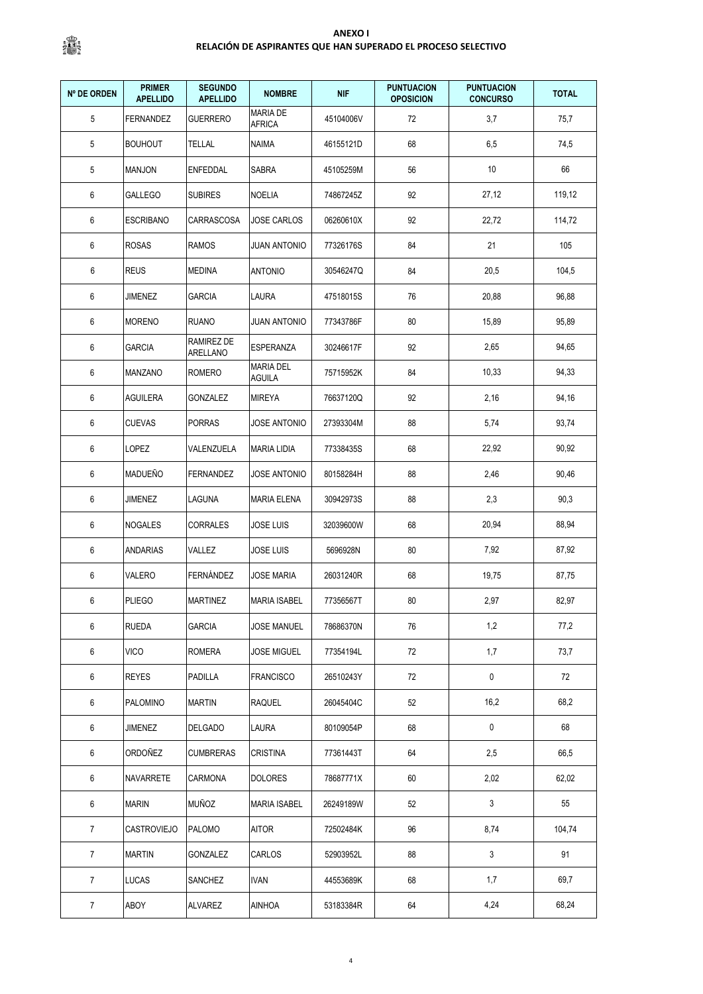| <b>Nº DE ORDEN</b> | <b>PRIMER</b><br><b>APELLIDO</b> | <b>SEGUNDO</b><br><b>APELLIDO</b> | <b>NOMBRE</b>                     | <b>NIF</b> | <b>PUNTUACION</b><br><b>OPOSICION</b> | <b>PUNTUACION</b><br><b>CONCURSO</b> | <b>TOTAL</b> |
|--------------------|----------------------------------|-----------------------------------|-----------------------------------|------------|---------------------------------------|--------------------------------------|--------------|
| 5                  | <b>FERNANDEZ</b>                 | <b>GUERRERO</b>                   | <b>MARIA DE</b><br><b>AFRICA</b>  | 45104006V  | 72                                    | 3,7                                  | 75,7         |
| 5                  | <b>BOUHOUT</b>                   | <b>TELLAL</b>                     | NAIMA                             | 46155121D  | 68                                    | 6,5                                  | 74,5         |
| 5                  | <b>MANJON</b>                    | ENFEDDAL                          | SABRA                             | 45105259M  | 56                                    | 10                                   | 66           |
| 6                  | <b>GALLEGO</b>                   | <b>SUBIRES</b>                    | <b>NOELIA</b>                     | 74867245Z  | 92                                    | 27,12                                | 119,12       |
| 6                  | <b>ESCRIBANO</b>                 | CARRASCOSA                        | JOSE CARLOS                       | 06260610X  | 92                                    | 22,72                                | 114,72       |
| 6                  | <b>ROSAS</b>                     | <b>RAMOS</b>                      | <b>JUAN ANTONIO</b>               | 77326176S  | 84                                    | 21                                   | 105          |
| 6                  | <b>REUS</b>                      | <b>MEDINA</b>                     | <b>ANTONIO</b>                    | 30546247Q  | 84                                    | 20,5                                 | 104,5        |
| 6                  | JIMENEZ                          | GARCIA                            | LAURA                             | 47518015S  | 76                                    | 20,88                                | 96,88        |
| 6                  | <b>MORENO</b>                    | <b>RUANO</b>                      | <b>JUAN ANTONIO</b>               | 77343786F  | 80                                    | 15,89                                | 95,89        |
| 6                  | <b>GARCIA</b>                    | RAMIREZ DE<br>ARELLANO            | ESPERANZA                         | 30246617F  | 92                                    | 2,65                                 | 94,65        |
| 6                  | <b>MANZANO</b>                   | ROMERO                            | <b>MARIA DEL</b><br><b>AGUILA</b> | 75715952K  | 84                                    | 10,33                                | 94,33        |
| 6                  | <b>AGUILERA</b>                  | <b>GONZALEZ</b>                   | <b>MIREYA</b>                     | 76637120Q  | 92                                    | 2,16                                 | 94,16        |
| 6                  | <b>CUEVAS</b>                    | <b>PORRAS</b>                     | JOSE ANTONIO                      | 27393304M  | 88                                    | 5,74                                 | 93,74        |
| 6                  | LOPEZ                            | VALENZUELA                        | <b>MARIA LIDIA</b>                | 77338435S  | 68                                    | 22,92                                | 90,92        |
| 6                  | <b>MADUEÑO</b>                   | <b>FERNANDEZ</b>                  | <b>JOSE ANTONIO</b>               | 80158284H  | 88                                    | 2,46                                 | 90,46        |
| 6                  | <b>JIMENEZ</b>                   | LAGUNA                            | <b>MARIA ELENA</b>                | 30942973S  | 88                                    | 2,3                                  | 90,3         |
| 6                  | <b>NOGALES</b>                   | CORRALES                          | JOSE LUIS                         | 32039600W  | 68                                    | 20,94                                | 88,94        |
| 6                  | ANDARIAS                         | VALLEZ                            | <b>JOSE LUIS</b>                  | 5696928N   | 80                                    | 7,92                                 | 87,92        |
| 6                  | VALERO                           | FERNÁNDEZ                         | <b>JOSE MARIA</b>                 | 26031240R  | 68                                    | 19,75                                | 87,75        |
| 6                  | <b>PLIEGO</b>                    | <b>MARTINEZ</b>                   | <b>MARIA ISABEL</b>               | 77356567T  | 80                                    | 2,97                                 | 82,97        |
| 6                  | RUEDA                            | GARCIA                            | <b>JOSE MANUEL</b>                | 78686370N  | 76                                    | 1,2                                  | 77,2         |
| 6                  | <b>VICO</b>                      | <b>ROMERA</b>                     | <b>JOSE MIGUEL</b>                | 77354194L  | 72                                    | 1,7                                  | 73,7         |
| 6                  | <b>REYES</b>                     | PADILLA                           | <b>FRANCISCO</b>                  | 26510243Y  | 72                                    | 0                                    | 72           |
| 6                  | PALOMINO                         | <b>MARTIN</b>                     | RAQUEL                            | 26045404C  | 52                                    | 16,2                                 | 68,2         |
| 6                  | JIMENEZ                          | <b>DELGADO</b>                    | LAURA                             | 80109054P  | 68                                    | $\pmb{0}$                            | 68           |
| 6                  | ORDOÑEZ                          | <b>CUMBRERAS</b>                  | <b>CRISTINA</b>                   | 77361443T  | 64                                    | 2,5                                  | 66,5         |
| 6                  | NAVARRETE                        | CARMONA                           | <b>DOLORES</b>                    | 78687771X  | 60                                    | 2,02                                 | 62,02        |
| 6                  | <b>MARIN</b>                     | MUÑOZ                             | <b>MARIA ISABEL</b>               | 26249189W  | 52                                    | $\mathbf{3}$                         | 55           |
| $\overline{7}$     | <b>CASTROVIEJO</b>               | PALOMO                            | <b>AITOR</b>                      | 72502484K  | 96                                    | 8,74                                 | 104,74       |
| $\overline{7}$     | <b>MARTIN</b>                    | GONZALEZ                          | CARLOS                            | 52903952L  | 88                                    | $\mathbf{3}$                         | 91           |
| $\overline{7}$     | LUCAS                            | SANCHEZ                           | <b>IVAN</b>                       | 44553689K  | 68                                    | 1,7                                  | 69,7         |
| $\overline{7}$     | ABOY                             | ALVAREZ                           | <b>AINHOA</b>                     | 53183384R  | 64                                    | 4,24                                 | 68,24        |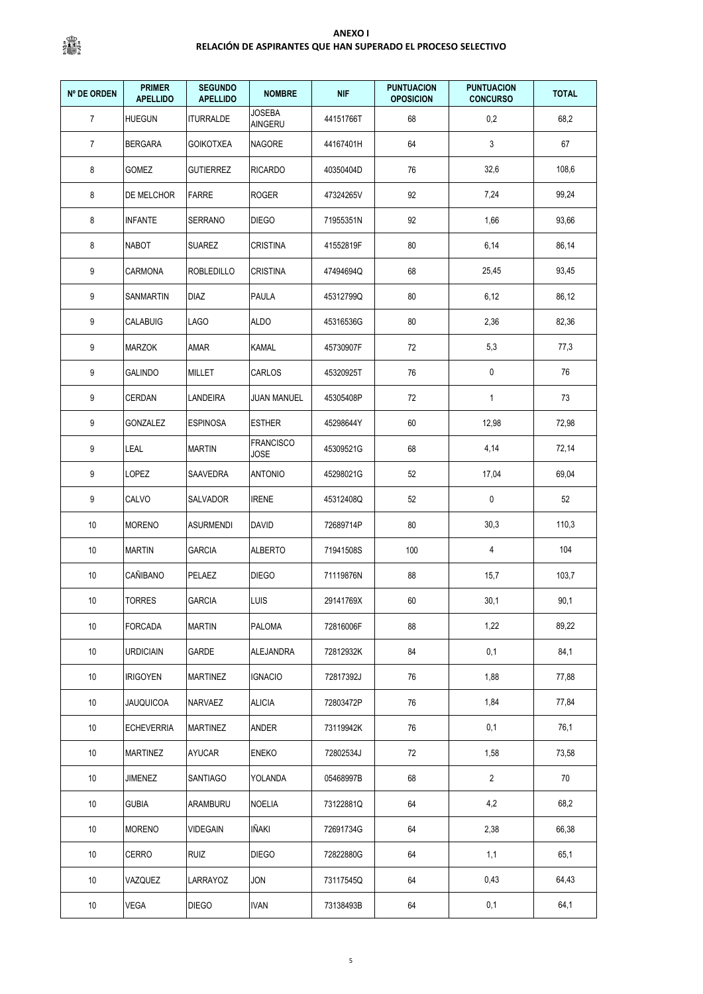| <b>Nº DE ORDEN</b> | <b>PRIMER</b><br><b>APELLIDO</b> | <b>SEGUNDO</b><br><b>APELLIDO</b> | <b>NOMBRE</b>            | <b>NIF</b> | <b>PUNTUACION</b><br><b>OPOSICION</b> | <b>PUNTUACION</b><br><b>CONCURSO</b> | <b>TOTAL</b> |
|--------------------|----------------------------------|-----------------------------------|--------------------------|------------|---------------------------------------|--------------------------------------|--------------|
| $\overline{7}$     | <b>HUEGUN</b>                    | <b>ITURRALDE</b>                  | <b>JOSEBA</b><br>AINGERU | 44151766T  | 68                                    | 0,2                                  | 68,2         |
| $\overline{7}$     | <b>BERGARA</b>                   | <b>GOIKOTXEA</b>                  | <b>NAGORE</b>            | 44167401H  | 64                                    | 3                                    | 67           |
| 8                  | GOMEZ                            | <b>GUTIERREZ</b>                  | <b>RICARDO</b>           | 40350404D  | 76                                    | 32,6                                 | 108,6        |
| 8                  | DE MELCHOR                       | <b>FARRE</b>                      | <b>ROGER</b>             | 47324265V  | 92                                    | 7,24                                 | 99,24        |
| 8                  | <b>INFANTE</b>                   | SERRANO                           | <b>DIEGO</b>             | 71955351N  | 92                                    | 1,66                                 | 93,66        |
| 8                  | <b>NABOT</b>                     | <b>SUAREZ</b>                     | <b>CRISTINA</b>          | 41552819F  | 80                                    | 6,14                                 | 86,14        |
| 9                  | <b>CARMONA</b>                   | <b>ROBLEDILLO</b>                 | <b>CRISTINA</b>          | 47494694Q  | 68                                    | 25,45                                | 93,45        |
| 9                  | SANMARTIN                        | <b>DIAZ</b>                       | <b>PAULA</b>             | 45312799Q  | 80                                    | 6,12                                 | 86,12        |
| 9                  | <b>CALABUIG</b>                  | LAGO                              | <b>ALDO</b>              | 45316536G  | 80                                    | 2,36                                 | 82,36        |
| 9                  | <b>MARZOK</b>                    | AMAR                              | KAMAL                    | 45730907F  | 72                                    | 5,3                                  | 77,3         |
| 9                  | <b>GALINDO</b>                   | <b>MILLET</b>                     | CARLOS                   | 45320925T  | 76                                    | 0                                    | 76           |
| 9                  | <b>CERDAN</b>                    | LANDEIRA                          | <b>JUAN MANUEL</b>       | 45305408P  | 72                                    | 1                                    | 73           |
| 9                  | GONZALEZ                         | <b>ESPINOSA</b>                   | <b>ESTHER</b>            | 45298644Y  | 60                                    | 12,98                                | 72,98        |
| 9                  | LEAL                             | <b>MARTIN</b>                     | <b>FRANCISCO</b><br>JOSE | 45309521G  | 68                                    | 4,14                                 | 72,14        |
| 9                  | LOPEZ                            | SAAVEDRA                          | <b>ANTONIO</b>           | 45298021G  | 52                                    | 17,04                                | 69,04        |
| 9                  | CALVO                            | SALVADOR                          | <b>IRENE</b>             | 45312408Q  | 52                                    | 0                                    | 52           |
| 10                 | <b>MORENO</b>                    | <b>ASURMENDI</b>                  | <b>DAVID</b>             | 72689714P  | 80                                    | 30,3                                 | 110,3        |
| 10                 | <b>MARTIN</b>                    | <b>GARCIA</b>                     | <b>ALBERTO</b>           | 71941508S  | 100                                   | 4                                    | 104          |
| 10                 | CAÑIBANO                         | PELAEZ                            | <b>DIEGO</b>             | 71119876N  | 88                                    | 15,7                                 | 103,7        |
| 10                 | <b>TORRES</b>                    | <b>GARCIA</b>                     | <b>LUIS</b>              | 29141769X  | 60                                    | 30,1                                 | 90,1         |
| 10                 | <b>FORCADA</b>                   | <b>MARTIN</b>                     | <b>PALOMA</b>            | 72816006F  | 88                                    | 1,22                                 | 89,22        |
| 10                 | <b>URDICIAIN</b>                 | GARDE                             | ALEJANDRA                | 72812932K  | 84                                    | 0,1                                  | 84,1         |
| 10                 | <b>IRIGOYEN</b>                  | <b>MARTINEZ</b>                   | <b>IGNACIO</b>           | 72817392J  | 76                                    | 1,88                                 | 77,88        |
| 10                 | <b>JAUQUICOA</b>                 | NARVAEZ                           | <b>ALICIA</b>            | 72803472P  | 76                                    | 1,84                                 | 77,84        |
| 10                 | <b>ECHEVERRIA</b>                | <b>MARTINEZ</b>                   | ANDER                    | 73119942K  | 76                                    | 0,1                                  | 76,1         |
| 10                 | <b>MARTINEZ</b>                  | AYUCAR                            | <b>ENEKO</b>             | 72802534J  | 72                                    | 1,58                                 | 73,58        |
| 10                 | JIMENEZ                          | <b>SANTIAGO</b>                   | YOLANDA                  | 05468997B  | 68                                    | $\overline{2}$                       | 70           |
| 10                 | <b>GUBIA</b>                     | ARAMBURU                          | <b>NOELIA</b>            | 73122881Q  | 64                                    | 4,2                                  | 68,2         |
| 10                 | <b>MORENO</b>                    | VIDEGAIN                          | IÑAKI                    | 72691734G  | 64                                    | 2,38                                 | 66,38        |
| 10                 | CERRO                            | <b>RUIZ</b>                       | <b>DIEGO</b>             | 72822880G  | 64                                    | 1,1                                  | 65,1         |
| 10                 | VAZQUEZ                          | LARRAYOZ                          | JON                      | 73117545Q  | 64                                    | 0,43                                 | 64,43        |
| 10                 | VEGA                             | <b>DIEGO</b>                      | <b>IVAN</b>              | 73138493B  | 64                                    | 0,1                                  | 64,1         |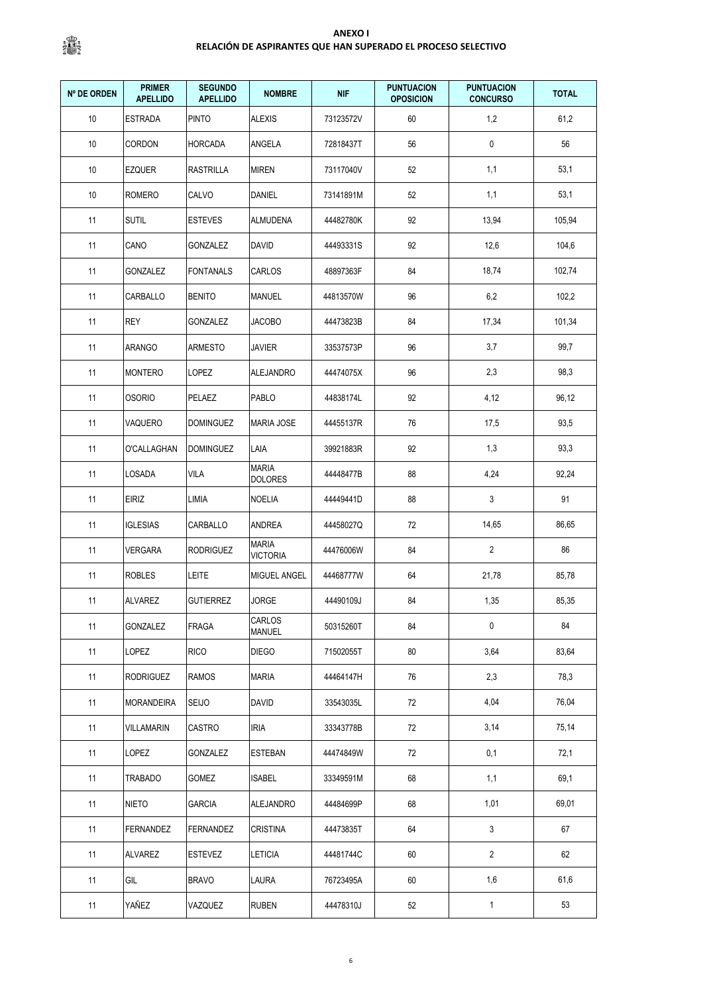| <b>Nº DE ORDEN</b> | <b>PRIMER</b><br><b>APELLIDO</b> | <b>SEGUNDO</b><br><b>APELLIDO</b> | <b>NOMBRE</b>                   | <b>NIF</b> | <b>PUNTUACION</b><br><b>OPOSICION</b> | <b>PUNTUACION</b><br><b>CONCURSO</b> | <b>TOTAL</b> |
|--------------------|----------------------------------|-----------------------------------|---------------------------------|------------|---------------------------------------|--------------------------------------|--------------|
| 10                 | <b>ESTRADA</b>                   | <b>PINTO</b>                      | <b>ALEXIS</b>                   | 73123572V  | 60                                    | 1,2                                  | 61,2         |
| 10                 | CORDON                           | <b>HORCADA</b>                    | ANGELA                          | 72818437T  | 56                                    | 0                                    | 56           |
| 10                 | EZQUER                           | <b>RASTRILLA</b>                  | <b>MIREN</b>                    | 73117040V  | 52                                    | 1,1                                  | 53,1         |
| 10                 | <b>ROMERO</b>                    | CALVO                             | DANIEL                          | 73141891M  | 52                                    | 1,1                                  | 53,1         |
| 11                 | <b>SUTIL</b>                     | <b>ESTEVES</b>                    | ALMUDENA                        | 44482780K  | 92                                    | 13,94                                | 105,94       |
| 11                 | CANO                             | <b>GONZALEZ</b>                   | <b>DAVID</b>                    | 44493331S  | 92                                    | 12,6                                 | 104,6        |
| 11                 | GONZALEZ                         | <b>FONTANALS</b>                  | CARLOS                          | 48897363F  | 84                                    | 18,74                                | 102,74       |
| 11                 | CARBALLO                         | <b>BENITO</b>                     | MANUEL                          | 44813570W  | 96                                    | 6,2                                  | 102,2        |
| 11                 | <b>REY</b>                       | <b>GONZALEZ</b>                   | <b>JACOBO</b>                   | 44473823B  | 84                                    | 17,34                                | 101,34       |
| 11                 | <b>ARANGO</b>                    | ARMESTO                           | JAVIER                          | 33537573P  | 96                                    | 3,7                                  | 99,7         |
| 11                 | <b>MONTERO</b>                   | LOPEZ                             | ALEJANDRO                       | 44474075X  | 96                                    | 2,3                                  | 98,3         |
| 11                 | <b>OSORIO</b>                    | PELAEZ                            | PABLO                           | 44838174L  | 92                                    | 4,12                                 | 96,12        |
| 11                 | VAQUERO                          | <b>DOMINGUEZ</b>                  | <b>MARIA JOSE</b>               | 44455137R  | 76                                    | 17,5                                 | 93,5         |
| 11                 | O'CALLAGHAN                      | <b>DOMINGUEZ</b>                  | LAIA                            | 39921883R  | 92                                    | 1,3                                  | 93,3         |
| 11                 | LOSADA                           | <b>VILA</b>                       | <b>MARIA</b><br><b>DOLORES</b>  | 44448477B  | 88                                    | 4,24                                 | 92,24        |
| 11                 | EIRIZ                            | LIMIA                             | <b>NOELIA</b>                   | 44449441D  | 88                                    | 3                                    | 91           |
| 11                 | <b>IGLESIAS</b>                  | CARBALLO                          | ANDREA                          | 44458027Q  | 72                                    | 14,65                                | 86,65        |
| 11                 | VERGARA                          | <b>RODRIGUEZ</b>                  | <b>MARIA</b><br><b>VICTORIA</b> | 44476006W  | 84                                    | $\overline{2}$                       | 86           |
| 11                 | <b>ROBLES</b>                    | LEITE                             | MIGUEL ANGEL                    | 44468777W  | 64                                    | 21,78                                | 85,78        |
| 11                 | <b>ALVAREZ</b>                   | <b>GUTIERREZ</b>                  | <b>JORGE</b>                    | 44490109J  | 84                                    | 1,35                                 | 85,35        |
| 11                 | GONZALEZ                         | FRAGA                             | CARLOS<br>MANUEL                | 50315260T  | 84                                    | $\pmb{0}$                            | 84           |
| 11                 | LOPEZ                            | RICO                              | <b>DIEGO</b>                    | 71502055T  | 80                                    | 3,64                                 | 83,64        |
| 11                 | <b>RODRIGUEZ</b>                 | <b>RAMOS</b>                      | <b>MARIA</b>                    | 44464147H  | 76                                    | 2,3                                  | 78,3         |
| 11                 | <b>MORANDEIRA</b>                | SEIJO                             | <b>DAVID</b>                    | 33543035L  | 72                                    | 4,04                                 | 76,04        |
| 11                 | <b>VILLAMARIN</b>                | CASTRO                            | <b>IRIA</b>                     | 33343778B  | 72                                    | 3,14                                 | 75,14        |
| 11                 | LOPEZ                            | GONZALEZ                          | ESTEBAN                         | 44474849W  | 72                                    | 0,1                                  | 72,1         |
| 11                 | TRABADO                          | GOMEZ                             | <b>ISABEL</b>                   | 33349591M  | 68                                    | 1,1                                  | 69,1         |
| 11                 | <b>NIETO</b>                     | <b>GARCIA</b>                     | <b>ALEJANDRO</b>                | 44484699P  | 68                                    | 1,01                                 | 69,01        |
| 11                 | FERNANDEZ                        | FERNANDEZ                         | CRISTINA                        | 44473835T  | 64                                    | 3                                    | 67           |
| 11                 | ALVAREZ                          | <b>ESTEVEZ</b>                    | <b>LETICIA</b>                  | 44481744C  | 60                                    | $\overline{2}$                       | 62           |
| 11                 | GIL                              | <b>BRAVO</b>                      | LAURA                           | 76723495A  | 60                                    | 1,6                                  | 61,6         |
| 11                 | YAÑEZ                            | VAZQUEZ                           | <b>RUBEN</b>                    | 44478310J  | 52                                    | $\mathbf{1}$                         | 53           |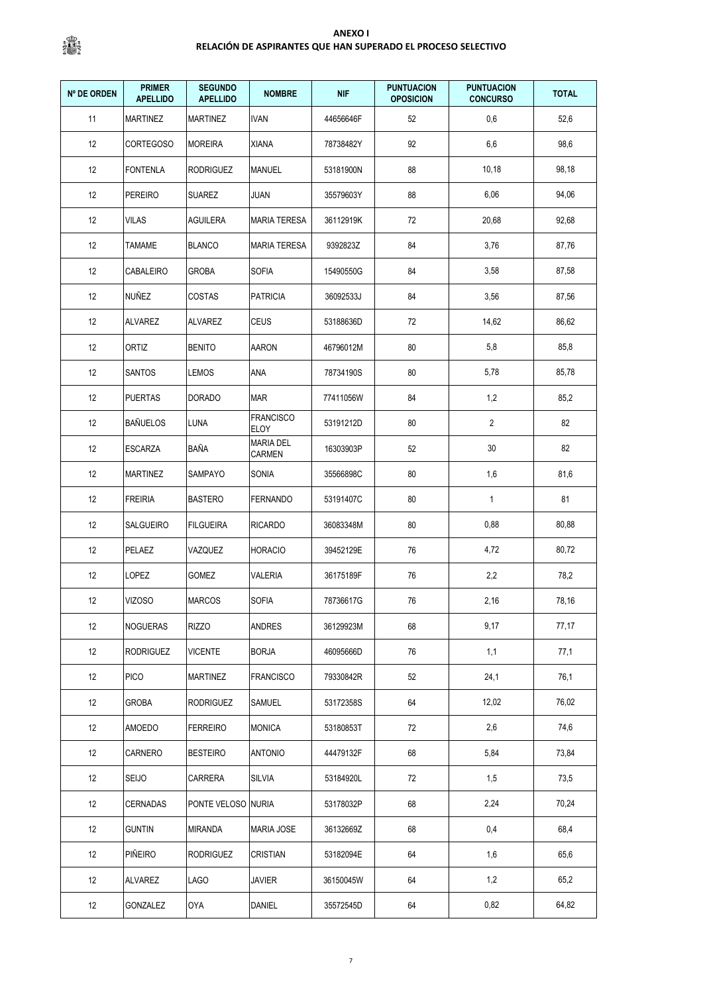| <b>Nº DE ORDEN</b> | <b>PRIMER</b><br><b>APELLIDO</b> | <b>SEGUNDO</b><br><b>APELLIDO</b> | <b>NOMBRE</b>              | <b>NIF</b> | <b>PUNTUACION</b><br><b>OPOSICION</b> | <b>PUNTUACION</b><br><b>CONCURSO</b> | <b>TOTAL</b> |
|--------------------|----------------------------------|-----------------------------------|----------------------------|------------|---------------------------------------|--------------------------------------|--------------|
| 11                 | <b>MARTINEZ</b>                  | <b>MARTINEZ</b>                   | <b>IVAN</b>                | 44656646F  | 52                                    | 0,6                                  | 52,6         |
| 12                 | <b>CORTEGOSO</b>                 | <b>MOREIRA</b>                    | XIANA                      | 78738482Y  | 92                                    | 6,6                                  | 98,6         |
| 12                 | FONTENLA                         | <b>RODRIGUEZ</b>                  | MANUEL                     | 53181900N  | 88                                    | 10,18                                | 98,18        |
| 12                 | <b>PEREIRO</b>                   | <b>SUAREZ</b>                     | JUAN                       | 35579603Y  | 88                                    | 6,06                                 | 94,06        |
| 12                 | VILAS                            | AGUILERA                          | <b>MARIA TERESA</b>        | 36112919K  | 72                                    | 20,68                                | 92,68        |
| 12                 | <b>TAMAME</b>                    | <b>BLANCO</b>                     | <b>MARIA TERESA</b>        | 9392823Z   | 84                                    | 3,76                                 | 87,76        |
| 12                 | CABALEIRO                        | <b>GROBA</b>                      | <b>SOFIA</b>               | 15490550G  | 84                                    | 3,58                                 | 87,58        |
| 12                 | NUÑEZ                            | COSTAS                            | <b>PATRICIA</b>            | 36092533J  | 84                                    | 3,56                                 | 87,56        |
| 12                 | <b>ALVAREZ</b>                   | <b>ALVAREZ</b>                    | <b>CEUS</b>                | 53188636D  | 72                                    | 14,62                                | 86,62        |
| 12                 | <b>ORTIZ</b>                     | <b>BENITO</b>                     | AARON                      | 46796012M  | 80                                    | 5,8                                  | 85,8         |
| 12                 | SANTOS                           | LEMOS                             | ANA                        | 78734190S  | 80                                    | 5,78                                 | 85,78        |
| 12                 | <b>PUERTAS</b>                   | <b>DORADO</b>                     | MAR                        | 77411056W  | 84                                    | 1,2                                  | 85,2         |
| 12                 | <b>BAÑUELOS</b>                  | LUNA                              | <b>FRANCISCO</b><br>ELOY   | 53191212D  | 80                                    | $\overline{2}$                       | 82           |
| 12                 | ESCARZA                          | BAÑA                              | <b>MARIA DEL</b><br>CARMEN | 16303903P  | 52                                    | 30                                   | 82           |
| 12                 | MARTINEZ                         | SAMPAYO                           | SONIA                      | 35566898C  | 80                                    | 1,6                                  | 81,6         |
| 12                 | <b>FREIRIA</b>                   | <b>BASTERO</b>                    | <b>FERNANDO</b>            | 53191407C  | 80                                    | $\mathbf{1}$                         | 81           |
| 12                 | SALGUEIRO                        | <b>FILGUEIRA</b>                  | <b>RICARDO</b>             | 36083348M  | 80                                    | 0,88                                 | 80,88        |
| 12                 | PELAEZ                           | VAZQUEZ                           | <b>HORACIO</b>             | 39452129E  | 76                                    | 4,72                                 | 80,72        |
| 12                 | LOPEZ                            | GOMEZ                             | VALERIA                    | 36175189F  | 76                                    | 2,2                                  | 78,2         |
| 12                 | <b>VIZOSO</b>                    | <b>MARCOS</b>                     | SOFIA                      | 78736617G  | 76                                    | 2,16                                 | 78,16        |
| 12                 | NOGUERAS                         | <b>RIZZO</b>                      | ANDRES                     | 36129923M  | 68                                    | 9,17                                 | 77,17        |
| 12                 | <b>RODRIGUEZ</b>                 | <b>VICENTE</b>                    | <b>BORJA</b>               | 46095666D  | 76                                    | 1,1                                  | 77,1         |
| 12                 | <b>PICO</b>                      | <b>MARTINEZ</b>                   | <b>FRANCISCO</b>           | 79330842R  | 52                                    | 24,1                                 | 76,1         |
| 12                 | <b>GROBA</b>                     | <b>RODRIGUEZ</b>                  | SAMUEL                     | 53172358S  | 64                                    | 12,02                                | 76,02        |
| 12                 | <b>AMOEDO</b>                    | <b>FERREIRO</b>                   | <b>MONICA</b>              | 53180853T  | $72\,$                                | 2,6                                  | 74,6         |
| 12                 | CARNERO                          | <b>BESTEIRO</b>                   | <b>ANTONIO</b>             | 44479132F  | 68                                    | 5,84                                 | 73,84        |
| 12                 | <b>SEIJO</b>                     | CARRERA                           | <b>SILVIA</b>              | 53184920L  | $72\,$                                | 1,5                                  | 73,5         |
| 12                 | <b>CERNADAS</b>                  | PONTE VELOSO                      | <b>NURIA</b>               | 53178032P  | 68                                    | 2,24                                 | 70,24        |
| 12                 | <b>GUNTIN</b>                    | <b>MIRANDA</b>                    | <b>MARIA JOSE</b>          | 36132669Z  | 68                                    | 0,4                                  | 68,4         |
| 12                 | <b>PIÑEIRO</b>                   | <b>RODRIGUEZ</b>                  | <b>CRISTIAN</b>            | 53182094E  | 64                                    | 1,6                                  | 65,6         |
| 12                 | ALVAREZ                          | <b>LAGO</b>                       | <b>JAVIER</b>              | 36150045W  | 64                                    | 1,2                                  | 65,2         |
| 12                 | GONZALEZ                         | OYA                               | DANIEL                     | 35572545D  | 64                                    | 0,82                                 | 64,82        |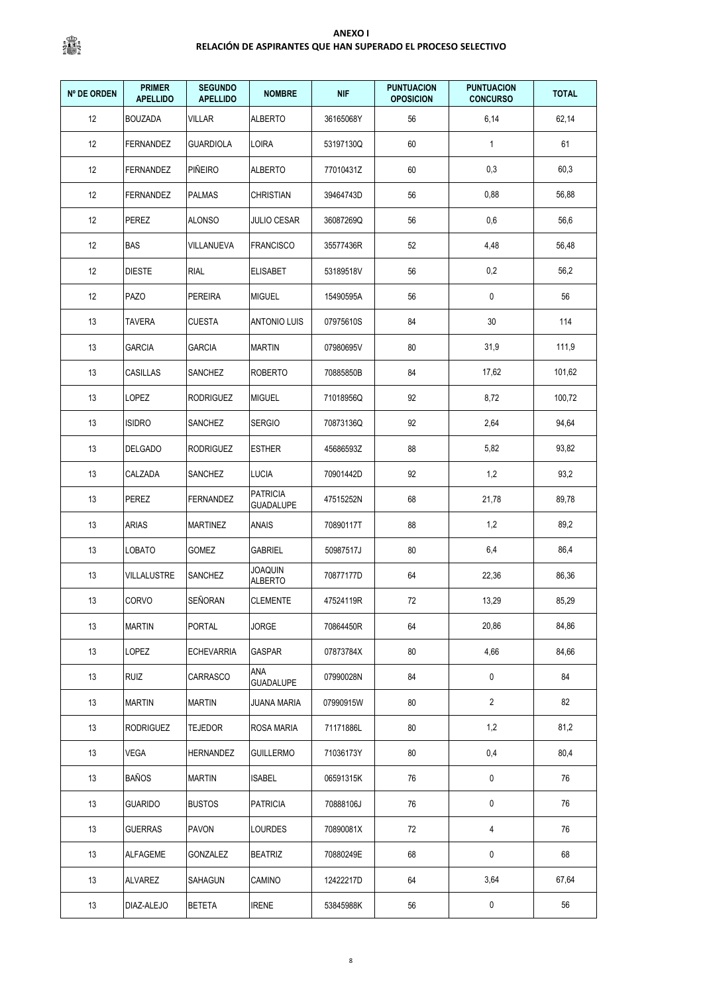| <b>Nº DE ORDEN</b> | <b>PRIMER</b><br><b>APELLIDO</b> | <b>SEGUNDO</b><br><b>APELLIDO</b> | <b>NOMBRE</b>                       | <b>NIF</b> | <b>PUNTUACION</b><br><b>OPOSICION</b> | <b>PUNTUACION</b><br><b>CONCURSO</b> | <b>TOTAL</b> |
|--------------------|----------------------------------|-----------------------------------|-------------------------------------|------------|---------------------------------------|--------------------------------------|--------------|
| 12                 | <b>BOUZADA</b>                   | <b>VILLAR</b>                     | <b>ALBERTO</b>                      | 36165068Y  | 56                                    | 6,14                                 | 62,14        |
| 12                 | FERNANDEZ                        | <b>GUARDIOLA</b>                  | LOIRA                               | 53197130Q  | 60                                    | $\mathbf{1}$                         | 61           |
| 12                 | <b>FERNANDEZ</b>                 | <b>PIÑEIRO</b>                    | ALBERTO                             | 77010431Z  | 60                                    | 0,3                                  | 60,3         |
| 12                 | <b>FERNANDEZ</b>                 | <b>PALMAS</b>                     | <b>CHRISTIAN</b>                    | 39464743D  | 56                                    | 0,88                                 | 56,88        |
| 12                 | PEREZ                            | <b>ALONSO</b>                     | <b>JULIO CESAR</b>                  | 36087269Q  | 56                                    | 0,6                                  | 56,6         |
| 12                 | <b>BAS</b>                       | VILLANUEVA                        | <b>FRANCISCO</b>                    | 35577436R  | 52                                    | 4,48                                 | 56,48        |
| 12                 | <b>DIESTE</b>                    | <b>RIAL</b>                       | <b>ELISABET</b>                     | 53189518V  | 56                                    | 0,2                                  | 56,2         |
| 12                 | <b>PAZO</b>                      | <b>PEREIRA</b>                    | <b>MIGUEL</b>                       | 15490595A  | 56                                    | 0                                    | 56           |
| 13                 | <b>TAVERA</b>                    | <b>CUESTA</b>                     | <b>ANTONIO LUIS</b>                 | 07975610S  | 84                                    | 30                                   | 114          |
| 13                 | <b>GARCIA</b>                    | <b>GARCIA</b>                     | <b>MARTIN</b>                       | 07980695V  | 80                                    | 31,9                                 | 111,9        |
| 13                 | <b>CASILLAS</b>                  | SANCHEZ                           | <b>ROBERTO</b>                      | 70885850B  | 84                                    | 17,62                                | 101,62       |
| 13                 | LOPEZ                            | <b>RODRIGUEZ</b>                  | <b>MIGUEL</b>                       | 71018956Q  | 92                                    | 8,72                                 | 100,72       |
| 13                 | <b>ISIDRO</b>                    | SANCHEZ                           | <b>SERGIO</b>                       | 70873136Q  | 92                                    | 2,64                                 | 94,64        |
| 13                 | <b>DELGADO</b>                   | <b>RODRIGUEZ</b>                  | <b>ESTHER</b>                       | 45686593Z  | 88                                    | 5,82                                 | 93,82        |
| 13                 | CALZADA                          | SANCHEZ                           | <b>LUCIA</b>                        | 70901442D  | 92                                    | 1,2                                  | 93,2         |
| 13                 | PEREZ                            | <b>FERNANDEZ</b>                  | <b>PATRICIA</b><br><b>GUADALUPE</b> | 47515252N  | 68                                    | 21,78                                | 89,78        |
| 13                 | ARIAS                            | <b>MARTINEZ</b>                   | ANAIS                               | 70890117T  | 88                                    | 1,2                                  | 89,2         |
| 13                 | LOBATO                           | GOMEZ                             | <b>GABRIEL</b>                      | 50987517J  | 80                                    | 6,4                                  | 86,4         |
| 13                 | VILLALUSTRE                      | <b>SANCHEZ</b>                    | <b>JOAQUIN</b><br><b>ALBERTO</b>    | 70877177D  | 64                                    | 22,36                                | 86,36        |
| 13                 | CORVO                            | SEÑORAN                           | <b>CLEMENTE</b>                     | 47524119R  | $72\,$                                | 13,29                                | 85,29        |
| 13                 | <b>MARTIN</b>                    | <b>PORTAL</b>                     | <b>JORGE</b>                        | 70864450R  | 64                                    | 20,86                                | 84,86        |
| 13                 | LOPEZ                            | <b>ECHEVARRIA</b>                 | GASPAR                              | 07873784X  | 80                                    | 4,66                                 | 84,66        |
| 13                 | <b>RUIZ</b>                      | CARRASCO                          | ana<br><b>GUADALUPE</b>             | 07990028N  | 84                                    | 0                                    | 84           |
| 13                 | <b>MARTIN</b>                    | <b>MARTIN</b>                     | JUANA MARIA                         | 07990915W  | 80                                    | $\overline{2}$                       | 82           |
| 13                 | <b>RODRIGUEZ</b>                 | <b>TEJEDOR</b>                    | ROSA MARIA                          | 71171886L  | 80                                    | 1,2                                  | 81,2         |
| 13                 | <b>VEGA</b>                      | <b>HERNANDEZ</b>                  | GUILLERMO                           | 71036173Y  | 80                                    | 0,4                                  | 80,4         |
| 13                 | <b>BAÑOS</b>                     | <b>MARTIN</b>                     | <b>ISABEL</b>                       | 06591315K  | 76                                    | 0                                    | 76           |
| 13                 | <b>GUARIDO</b>                   | <b>BUSTOS</b>                     | <b>PATRICIA</b>                     | 70888106J  | 76                                    | 0                                    | 76           |
| 13                 | <b>GUERRAS</b>                   | <b>PAVON</b>                      | LOURDES                             | 70890081X  | 72                                    | 4                                    | 76           |
| 13                 | ALFAGEME                         | GONZALEZ                          | <b>BEATRIZ</b>                      | 70880249E  | 68                                    | 0                                    | 68           |
| 13                 | ALVAREZ                          | SAHAGUN                           | CAMINO                              | 12422217D  | 64                                    | 3,64                                 | 67,64        |
| 13                 | DIAZ-ALEJO                       | <b>BETETA</b>                     | <b>IRENE</b>                        | 53845988K  | 56                                    | 0                                    | 56           |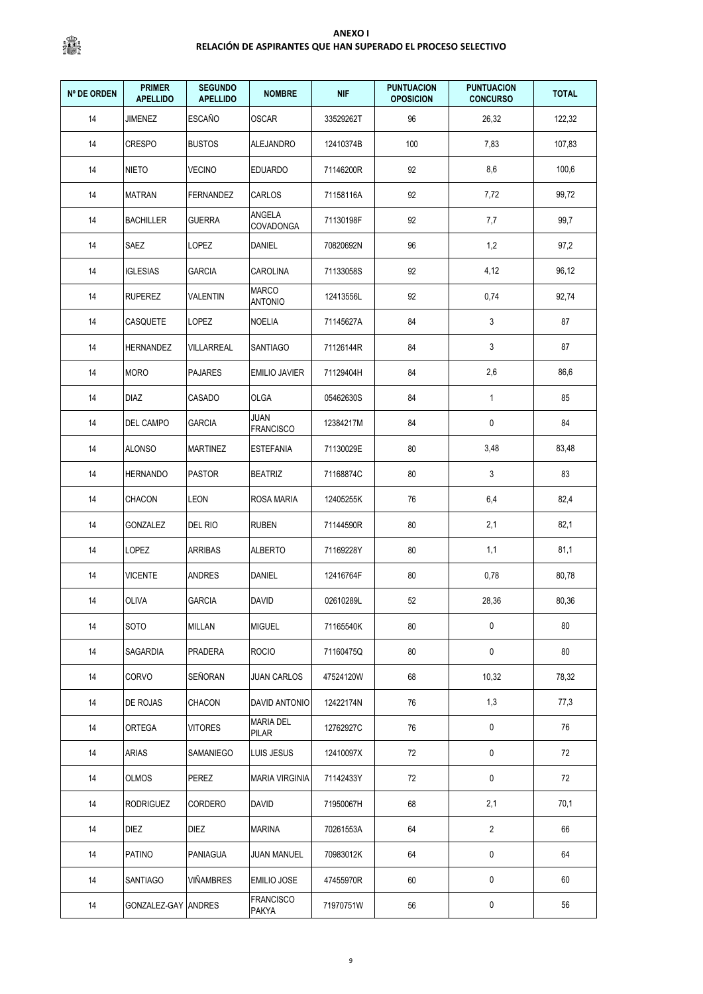| <b>Nº DE ORDEN</b> | <b>PRIMER</b><br><b>APELLIDO</b> | <b>SEGUNDO</b><br><b>APELLIDO</b> | <b>NOMBRE</b>                    | <b>NIF</b> | <b>PUNTUACION</b><br><b>OPOSICION</b> | <b>PUNTUACION</b><br><b>CONCURSO</b> | <b>TOTAL</b> |
|--------------------|----------------------------------|-----------------------------------|----------------------------------|------------|---------------------------------------|--------------------------------------|--------------|
| 14                 | <b>JIMENEZ</b>                   | <b>ESCAÑO</b>                     | <b>OSCAR</b>                     | 33529262T  | 96                                    | 26,32                                | 122,32       |
| 14                 | <b>CRESPO</b>                    | <b>BUSTOS</b>                     | ALEJANDRO                        | 12410374B  | 100                                   | 7,83                                 | 107,83       |
| 14                 | <b>NIETO</b>                     | <b>VECINO</b>                     | <b>EDUARDO</b>                   | 71146200R  | 92                                    | 8,6                                  | 100,6        |
| 14                 | <b>MATRAN</b>                    | <b>FERNANDEZ</b>                  | CARLOS                           | 71158116A  | 92                                    | 7,72                                 | 99,72        |
| 14                 | <b>BACHILLER</b>                 | <b>GUERRA</b>                     | ANGELA<br>COVADONGA              | 71130198F  | 92                                    | 7,7                                  | 99,7         |
| 14                 | SAEZ                             | <b>LOPEZ</b>                      | DANIEL                           | 70820692N  | 96                                    | 1,2                                  | 97,2         |
| 14                 | <b>IGLESIAS</b>                  | <b>GARCIA</b>                     | <b>CAROLINA</b>                  | 71133058S  | 92                                    | 4,12                                 | 96,12        |
| 14                 | <b>RUPEREZ</b>                   | VALENTIN                          | MARCO<br><b>ANTONIO</b>          | 12413556L  | 92                                    | 0,74                                 | 92,74        |
| 14                 | <b>CASQUETE</b>                  | LOPEZ                             | <b>NOELIA</b>                    | 71145627A  | 84                                    | 3                                    | 87           |
| 14                 | <b>HERNANDEZ</b>                 | <b>VILLARREAL</b>                 | SANTIAGO                         | 71126144R  | 84                                    | 3                                    | 87           |
| 14                 | <b>MORO</b>                      | <b>PAJARES</b>                    | <b>EMILIO JAVIER</b>             | 71129404H  | 84                                    | 2,6                                  | 86,6         |
| 14                 | DIAZ                             | CASADO                            | OLGA                             | 05462630S  | 84                                    | $\mathbf{1}$                         | 85           |
| 14                 | DEL CAMPO                        | <b>GARCIA</b>                     | JUAN<br><b>FRANCISCO</b>         | 12384217M  | 84                                    | 0                                    | 84           |
| 14                 | <b>ALONSO</b>                    | <b>MARTINEZ</b>                   | <b>ESTEFANIA</b>                 | 71130029E  | 80                                    | 3,48                                 | 83,48        |
| 14                 | <b>HERNANDO</b>                  | <b>PASTOR</b>                     | <b>BEATRIZ</b>                   | 71168874C  | 80                                    | 3                                    | 83           |
| 14                 | CHACON                           | <b>LEON</b>                       | <b>ROSA MARIA</b>                | 12405255K  | 76                                    | 6,4                                  | 82,4         |
| 14                 | GONZALEZ                         | DEL RIO                           | <b>RUBEN</b>                     | 71144590R  | 80                                    | 2,1                                  | 82,1         |
| 14                 | LOPEZ                            | <b>ARRIBAS</b>                    | ALBERTO                          | 71169228Y  | 80                                    | 1,1                                  | 81,1         |
| 14                 | <b>VICENTE</b>                   | <b>ANDRES</b>                     | DANIEL                           | 12416764F  | 80                                    | 0,78                                 | 80,78        |
| 14                 | <b>OLIVA</b>                     | <b>GARCIA</b>                     | DAVID                            | 02610289L  | 52                                    | 28,36                                | 80,36        |
| 14                 | <b>SOTO</b>                      | <b>MILLAN</b>                     | <b>MIGUEL</b>                    | 71165540K  | 80                                    | 0                                    | 80           |
| 14                 | SAGARDIA                         | PRADERA                           | <b>ROCIO</b>                     | 71160475Q  | 80                                    | 0                                    | 80           |
| 14                 | CORVO                            | SEÑORAN                           | <b>JUAN CARLOS</b>               | 47524120W  | 68                                    | 10,32                                | 78,32        |
| 14                 | DE ROJAS                         | CHACON                            | DAVID ANTONIO                    | 12422174N  | 76                                    | 1,3                                  | 77,3         |
| 14                 | ORTEGA                           | <b>VITORES</b>                    | <b>MARIA DEL</b><br><b>PILAR</b> | 12762927C  | 76                                    | 0                                    | 76           |
| 14                 | ARIAS                            | SAMANIEGO                         | LUIS JESUS                       | 12410097X  | 72                                    | 0                                    | 72           |
| 14                 | <b>OLMOS</b>                     | PEREZ                             | <b>MARIA VIRGINIA</b>            | 71142433Y  | 72                                    | 0                                    | 72           |
| 14                 | <b>RODRIGUEZ</b>                 | CORDERO                           | DAVID                            | 71950067H  | 68                                    | 2,1                                  | 70,1         |
| 14                 | <b>DIEZ</b>                      | DIEZ                              | <b>MARINA</b>                    | 70261553A  | 64                                    | $\sqrt{2}$                           | 66           |
| 14                 | PATINO                           | <b>PANIAGUA</b>                   | <b>JUAN MANUEL</b>               | 70983012K  | 64                                    | 0                                    | 64           |
| 14                 | SANTIAGO                         | VIÑAMBRES                         | <b>EMILIO JOSE</b>               | 47455970R  | 60                                    | 0                                    | 60           |
| 14                 | GONZALEZ-GAY ANDRES              |                                   | <b>FRANCISCO</b><br>PAKYA        | 71970751W  | 56                                    | 0                                    | 56           |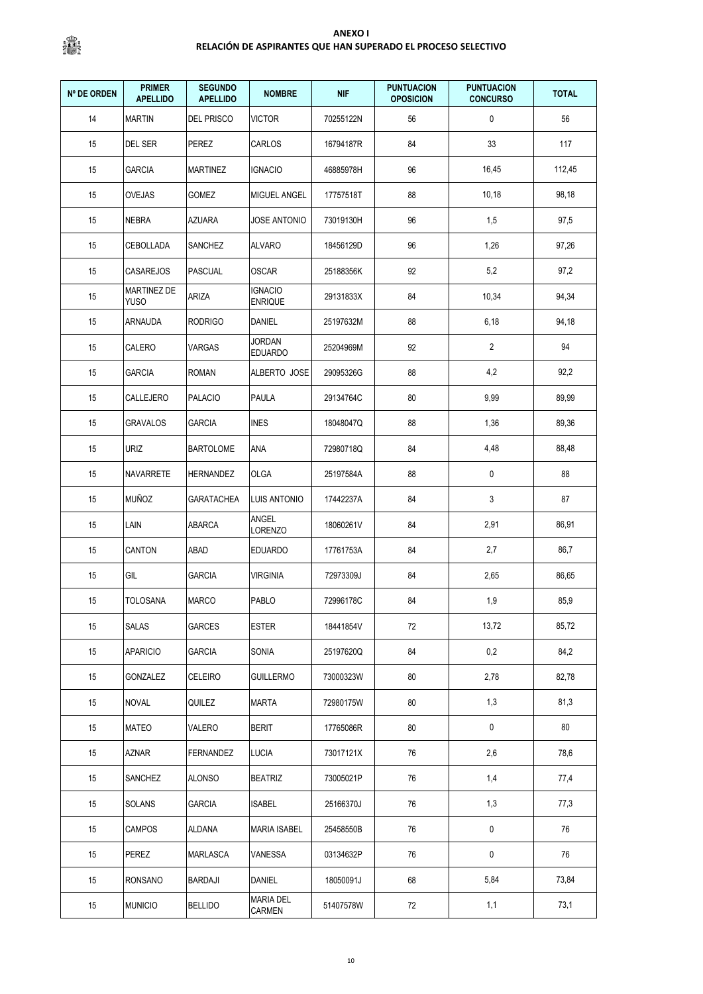| <b>Nº DE ORDEN</b> | <b>PRIMER</b><br><b>APELLIDO</b>  | <b>SEGUNDO</b><br><b>APELLIDO</b> | <b>NOMBRE</b>                    | <b>NIF</b> | <b>PUNTUACION</b><br><b>OPOSICION</b> | <b>PUNTUACION</b><br><b>CONCURSO</b> | <b>TOTAL</b> |
|--------------------|-----------------------------------|-----------------------------------|----------------------------------|------------|---------------------------------------|--------------------------------------|--------------|
| 14                 | <b>MARTIN</b>                     | DEL PRISCO                        | <b>VICTOR</b>                    | 70255122N  | 56                                    | 0                                    | 56           |
| 15                 | DEL SER                           | PEREZ                             | CARLOS                           | 16794187R  | 84                                    | 33                                   | 117          |
| 15                 | <b>GARCIA</b>                     | <b>MARTINEZ</b>                   | <b>IGNACIO</b>                   | 46885978H  | 96                                    | 16,45                                | 112,45       |
| 15                 | <b>OVEJAS</b>                     | GOMEZ                             | MIGUEL ANGEL                     | 17757518T  | 88                                    | 10,18                                | 98,18        |
| 15                 | <b>NEBRA</b>                      | AZUARA                            | <b>JOSE ANTONIO</b>              | 73019130H  | 96                                    | 1,5                                  | 97,5         |
| 15                 | CEBOLLADA                         | <b>SANCHEZ</b>                    | <b>ALVARO</b>                    | 18456129D  | 96                                    | 1,26                                 | 97,26        |
| 15                 | <b>CASAREJOS</b>                  | <b>PASCUAL</b>                    | OSCAR                            | 25188356K  | 92                                    | 5,2                                  | 97,2         |
| 15                 | <b>MARTINEZ DE</b><br><b>YUSO</b> | ARIZA                             | <b>IGNACIO</b><br><b>ENRIQUE</b> | 29131833X  | 84                                    | 10,34                                | 94,34        |
| 15                 | ARNAUDA                           | <b>RODRIGO</b>                    | DANIEL                           | 25197632M  | 88                                    | 6,18                                 | 94,18        |
| 15                 | CALERO                            | VARGAS                            | JORDAN<br><b>EDUARDO</b>         | 25204969M  | 92                                    | $\overline{2}$                       | 94           |
| 15                 | <b>GARCIA</b>                     | <b>ROMAN</b>                      | ALBERTO JOSE                     | 29095326G  | 88                                    | 4,2                                  | 92,2         |
| 15                 | CALLEJERO                         | <b>PALACIO</b>                    | PAULA                            | 29134764C  | 80                                    | 9,99                                 | 89,99        |
| 15                 | <b>GRAVALOS</b>                   | <b>GARCIA</b>                     | <b>INES</b>                      | 18048047Q  | 88                                    | 1,36                                 | 89,36        |
| 15                 | <b>URIZ</b>                       | <b>BARTOLOME</b>                  | ANA                              | 72980718Q  | 84                                    | 4,48                                 | 88,48        |
| 15                 | <b>NAVARRETE</b>                  | HERNANDEZ                         | OLGA                             | 25197584A  | 88                                    | 0                                    | 88           |
| 15                 | <b>MUÑOZ</b>                      | GARATACHEA                        | <b>LUIS ANTONIO</b>              | 17442237A  | 84                                    | 3                                    | 87           |
| 15                 | LAIN                              | ABARCA                            | ANGEL<br><b>LORENZO</b>          | 18060261V  | 84                                    | 2,91                                 | 86,91        |
| 15                 | <b>CANTON</b>                     | ABAD                              | <b>EDUARDO</b>                   | 17761753A  | 84                                    | 2,7                                  | 86,7         |
| 15                 | GIL                               | <b>GARCIA</b>                     | <b>VIRGINIA</b>                  | 72973309J  | 84                                    | 2,65                                 | 86,65        |
| 15                 | <b>TOLOSANA</b>                   | <b>MARCO</b>                      | PABLO                            | 72996178C  | 84                                    | 1,9                                  | 85,9         |
| 15                 | <b>SALAS</b>                      | <b>GARCES</b>                     | <b>ESTER</b>                     | 18441854V  | 72                                    | 13,72                                | 85,72        |
| 15                 | <b>APARICIO</b>                   | <b>GARCIA</b>                     | SONIA                            | 25197620Q  | 84                                    | 0,2                                  | 84,2         |
| 15                 | GONZALEZ                          | CELEIRO                           | <b>GUILLERMO</b>                 | 73000323W  | 80                                    | 2,78                                 | 82,78        |
| 15                 | NOVAL                             | Quilez                            | MARTA                            | 72980175W  | 80                                    | 1,3                                  | 81,3         |
| 15                 | <b>MATEO</b>                      | VALERO                            | <b>BERIT</b>                     | 17765086R  | 80                                    | $\pmb{0}$                            | 80           |
| 15                 | AZNAR                             | <b>FERNANDEZ</b>                  | <b>LUCIA</b>                     | 73017121X  | 76                                    | 2,6                                  | 78,6         |
| 15                 | SANCHEZ                           | <b>ALONSO</b>                     | <b>BEATRIZ</b>                   | 73005021P  | 76                                    | 1,4                                  | 77,4         |
| 15                 | SOLANS                            | <b>GARCIA</b>                     | <b>ISABEL</b>                    | 25166370J  | 76                                    | 1,3                                  | 77,3         |
| 15                 | <b>CAMPOS</b>                     | ALDANA                            | <b>MARIA ISABEL</b>              | 25458550B  | 76                                    | $\pmb{0}$                            | 76           |
| 15                 | PEREZ                             | MARLASCA                          | VANESSA                          | 03134632P  | 76                                    | 0                                    | 76           |
| 15                 | RONSANO                           | <b>BARDAJI</b>                    | DANIEL                           | 18050091J  | 68                                    | 5,84                                 | 73,84        |
| 15                 | <b>MUNICIO</b>                    | <b>BELLIDO</b>                    | <b>MARIA DEL</b><br>CARMEN       | 51407578W  | 72                                    | 1,1                                  | 73,1         |